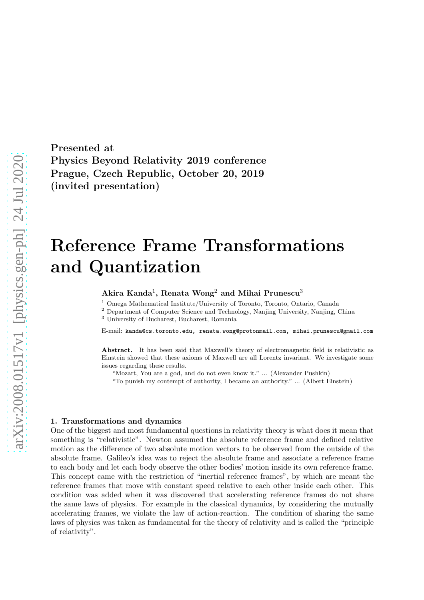Presented at Physics Beyond Relativity 2019 conference Prague, Czech Republic, October 20, 2019 (invited presentation)

# Reference Frame Transformations and Quantization

## Akira Kanda $^1$ , Renata Wong $^2$  and Mihai Prunescu $^3$

<sup>1</sup> Omega Mathematical Institute/University of Toronto, Toronto, Ontario, Canada

<sup>2</sup> Department of Computer Science and Technology, Nanjing University, Nanjing, China

<sup>3</sup> University of Bucharest, Bucharest, Romania

E-mail: kanda@cs.toronto.edu, renata.wong@protonmail.com, mihai.prunescu@gmail.com

Abstract. It has been said that Maxwell's theory of electromagnetic field is relativistic as Einstein showed that these axioms of Maxwell are all Lorentz invariant. We investigate some issues regarding these results.

"Mozart, You are a god, and do not even know it." ... (Alexander Pushkin)

"To punish my contempt of authority, I became an authority." ... (Albert Einstein)

#### 1. Transformations and dynamics

One of the biggest and most fundamental questions in relativity theory is what does it mean that something is "relativistic". Newton assumed the absolute reference frame and defined relative motion as the difference of two absolute motion vectors to be observed from the outside of the absolute frame. Galileo's idea was to reject the absolute frame and associate a reference frame to each body and let each body observe the other bodies' motion inside its own reference frame. This concept came with the restriction of "inertial reference frames", by which are meant the reference frames that move with constant speed relative to each other inside each other. This condition was added when it was discovered that accelerating reference frames do not share the same laws of physics. For example in the classical dynamics, by considering the mutually accelerating frames, we violate the law of action-reaction. The condition of sharing the same laws of physics was taken as fundamental for the theory of relativity and is called the "principle of relativity".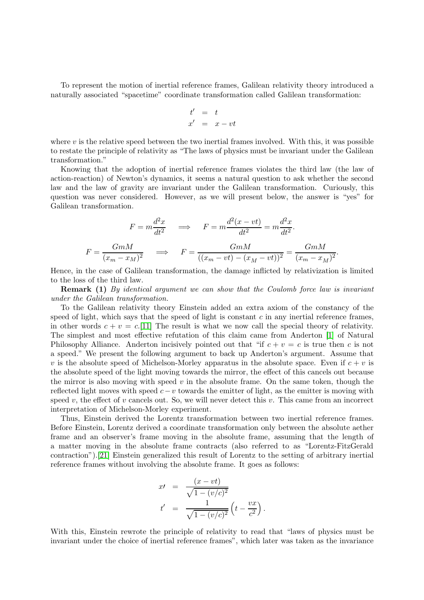To represent the motion of inertial reference frames, Galilean relativity theory introduced a naturally associated "spacetime" coordinate transformation called Galilean transformation:

$$
\begin{array}{rcl}\nt' & = & t \\
x' & = & x - vt\n\end{array}
$$

where  $v$  is the relative speed between the two inertial frames involved. With this, it was possible to restate the principle of relativity as "The laws of physics must be invariant under the Galilean transformation."

Knowing that the adoption of inertial reference frames violates the third law (the law of action-reaction) of Newton's dynamics, it seems a natural question to ask whether the second law and the law of gravity are invariant under the Galilean transformation. Curiously, this question was never considered. However, as we will present below, the answer is "yes" for Galilean transformation.

$$
F = m \frac{d^2 x}{dt^2} \qquad \Longrightarrow \qquad F = m \frac{d^2 (x - vt)}{dt^2} = m \frac{d^2 x}{dt^2}.
$$

$$
F = \frac{GmM}{(x_m - x_M)^2} \qquad \Longrightarrow \qquad F = \frac{GmM}{((x_m - vt) - (x_M - vt))^2} = \frac{GmM}{(x_m - x_M)^2}.
$$

Hence, in the case of Galilean transformation, the damage inflicted by relativization is limited to the loss of the third law.

**Remark (1)** By identical argument we can show that the Coulomb force law is invariant under the Galilean transformation.

To the Galilean relativity theory Einstein added an extra axiom of the constancy of the speed of light, which says that the speed of light is constant  $c$  in any inertial reference frames, in other words  $c + v = c$ . [\[11\]](#page-21-0) The result is what we now call the special theory of relativity. The simplest and most effective refutation of this claim came from Anderton [\[1\]](#page-21-1) of Natural Philosophy Alliance. Anderton incisively pointed out that "if  $c + v = c$  is true then c is not a speed." We present the following argument to back up Anderton's argument. Assume that v is the absolute speed of Michelson-Morley apparatus in the absolute space. Even if  $c + v$  is the absolute speed of the light moving towards the mirror, the effect of this cancels out because the mirror is also moving with speed  $v$  in the absolute frame. On the same token, though the reflected light moves with speed  $c-v$  towards the emitter of light, as the emitter is moving with speed v, the effect of v cancels out. So, we will never detect this v. This came from an incorrect interpretation of Michelson-Morley experiment.

Thus, Einstein derived the Lorentz transformation between two inertial reference frames. Before Einstein, Lorentz derived a coordinate transformation only between the absolute aether frame and an observer's frame moving in the absolute frame, assuming that the length of a matter moving in the absolute frame contracts (also referred to as "Lorentz-FitzGerald contraction").[\[21\]](#page-22-0) Einstein generalized this result of Lorentz to the setting of arbitrary inertial reference frames without involving the absolute frame. It goes as follows:

$$
x' = \frac{(x - vt)}{\sqrt{1 - (v/c)^2}}
$$
  

$$
t' = \frac{1}{\sqrt{1 - (v/c)^2}} \left( t - \frac{vx}{c^2} \right)
$$

.

With this, Einstein rewrote the principle of relativity to read that "laws of physics must be invariant under the choice of inertial reference frames", which later was taken as the invariance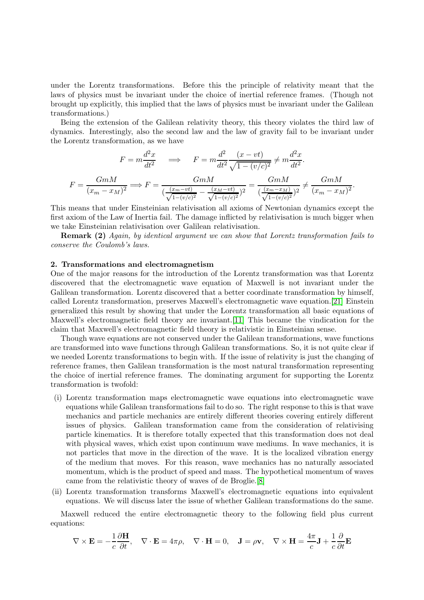under the Lorentz transformations. Before this the principle of relativity meant that the laws of physics must be invariant under the choice of inertial reference frames. (Though not brought up explicitly, this implied that the laws of physics must be invariant under the Galilean transformations.)

Being the extension of the Galilean relativity theory, this theory violates the third law of dynamics. Interestingly, also the second law and the law of gravity fail to be invariant under the Lorentz transformation, as we have

$$
F = m \frac{d^2 x}{dt^2} \implies F = m \frac{d^2}{dt^2} \frac{(x - vt)}{\sqrt{1 - (v/c)^2}} \neq m \frac{d^2 x}{dt^2}.
$$

$$
F = \frac{GmM}{(x_m - x_M)^2} \implies F = \frac{GmM}{(\frac{(x_m - vt)}{\sqrt{1 - (v/c)^2}} - \frac{(x_M - vt)}{\sqrt{1 - (v/c)^2}})^2} = \frac{GmM}{(\frac{(x_m - x_M)}{\sqrt{1 - (v/c)^2}})^2} \neq \frac{GmM}{(x_m - x_M)^2}.
$$

This means that under Einsteinian relativisation all axioms of Newtonian dynamics except the first axiom of the Law of Inertia fail. The damage inflicted by relativisation is much bigger when we take Einsteinian relativisation over Galilean relativisation.

**Remark (2)** Again, by identical argument we can show that Lorentz transformation fails to conserve the Coulomb's laws.

## 2. Transformations and electromagnetism

One of the major reasons for the introduction of the Lorentz transformation was that Lorentz discovered that the electromagnetic wave equation of Maxwell is not invariant under the Galilean transformation. Lorentz discovered that a better coordinate transformation by himself, called Lorentz transformation, preserves Maxwell's electromagnetic wave equation.[\[21\]](#page-22-0) Einstein generalized this result by showing that under the Lorentz transformation all basic equations of Maxwell's electromagnetic field theory are invariant.[\[11\]](#page-21-0) This became the vindication for the claim that Maxwell's electromagnetic field theory is relativistic in Einsteinian sense.

Though wave equations are not conserved under the Galilean transformations, wave functions are transformed into wave functions through Galilean transformations. So, it is not quite clear if we needed Lorentz transformations to begin with. If the issue of relativity is just the changing of reference frames, then Galilean transformation is the most natural transformation representing the choice of inertial reference frames. The dominating argument for supporting the Lorentz transformation is twofold:

- (i) Lorentz transformation maps electromagnetic wave equations into electromagnetic wave equations while Galilean transformations fail to do so. The right response to this is that wave mechanics and particle mechanics are entirely different theories covering entirely different issues of physics. Galilean transformation came from the consideration of relativising particle kinematics. It is therefore totally expected that this transformation does not deal with physical waves, which exist upon continuum wave mediums. In wave mechanics, it is not particles that move in the direction of the wave. It is the localized vibration energy of the medium that moves. For this reason, wave mechanics has no naturally associated momentum, which is the product of speed and mass. The hypothetical momentum of waves came from the relativistic theory of waves of de Broglie.[\[8\]](#page-21-2)
- (ii) Lorentz transformation transforms Maxwell's electromagnetic equations into equivalent equations. We will discuss later the issue of whether Galilean transformations do the same.

Maxwell reduced the entire electromagnetic theory to the following field plus current equations:

$$
\nabla \times \mathbf{E} = -\frac{1}{c} \frac{\partial \mathbf{H}}{\partial t}, \quad \nabla \cdot \mathbf{E} = 4\pi \rho, \quad \nabla \cdot \mathbf{H} = 0, \quad \mathbf{J} = \rho \mathbf{v}, \quad \nabla \times \mathbf{H} = \frac{4\pi}{c} \mathbf{J} + \frac{1}{c} \frac{\partial}{\partial t} \mathbf{E}
$$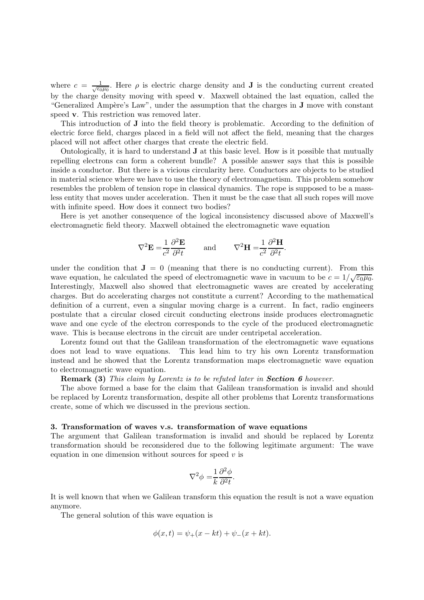where  $c = \frac{1}{\sqrt{\epsilon_0}}$  $\frac{1}{\epsilon_0\mu_0}$ . Here  $\rho$  is electric charge density and **J** is the conducting current created by the charge density moving with speed v. Maxwell obtained the last equation, called the "Generalized Ampère's Law", under the assumption that the charges in **J** move with constant speed v. This restriction was removed later.

This introduction of J into the field theory is problematic. According to the definition of electric force field, charges placed in a field will not affect the field, meaning that the charges placed will not affect other charges that create the electric field.

Ontologically, it is hard to understand J at this basic level. How is it possible that mutually repelling electrons can form a coherent bundle? A possible answer says that this is possible inside a conductor. But there is a vicious circularity here. Conductors are objects to be studied in material science where we have to use the theory of electromagnetism. This problem somehow resembles the problem of tension rope in classical dynamics. The rope is supposed to be a massless entity that moves under acceleration. Then it must be the case that all such ropes will move with infinite speed. How does it connect two bodies?

Here is yet another consequence of the logical inconsistency discussed above of Maxwell's electromagnetic field theory. Maxwell obtained the electromagnetic wave equation

$$
\nabla^2 \mathbf{E} = \frac{1}{c^2} \frac{\partial^2 \mathbf{E}}{\partial^2 t} \quad \text{and} \quad \nabla^2 \mathbf{H} = \frac{1}{c^2} \frac{\partial^2 \mathbf{H}}{\partial^2 t}.
$$

under the condition that  $J = 0$  (meaning that there is no conducting current). From this wave equation, he calculated the speed of electromagnetic wave in vacuum to be  $c = 1/\sqrt{\epsilon_0 \mu_0}$ . Interestingly, Maxwell also showed that electromagnetic waves are created by accelerating charges. But do accelerating charges not constitute a current? According to the mathematical definition of a current, even a singular moving charge is a current. In fact, radio engineers postulate that a circular closed circuit conducting electrons inside produces electromagnetic wave and one cycle of the electron corresponds to the cycle of the produced electromagnetic wave. This is because electrons in the circuit are under centripetal acceleration.

Lorentz found out that the Galilean transformation of the electromagnetic wave equations does not lead to wave equations. This lead him to try his own Lorentz transformation instead and he showed that the Lorentz transformation maps electromagnetic wave equation to electromagnetic wave equation.

**Remark (3)** This claim by Lorentz is to be refuted later in **Section 6** however.

The above formed a base for the claim that Galilean transformation is invalid and should be replaced by Lorentz transformation, despite all other problems that Lorentz transformations create, some of which we discussed in the previous section.

#### 3. Transformation of waves v.s. transformation of wave equations

The argument that Galilean transformation is invalid and should be replaced by Lorentz transformation should be reconsidered due to the following legitimate argument: The wave equation in one dimension without sources for speed  $v$  is

$$
\nabla^2 \phi = \frac{1}{k} \frac{\partial^2 \phi}{\partial^2 t}.
$$

It is well known that when we Galilean transform this equation the result is not a wave equation anymore.

The general solution of this wave equation is

$$
\phi(x,t) = \psi_{+}(x - kt) + \psi_{-}(x + kt).
$$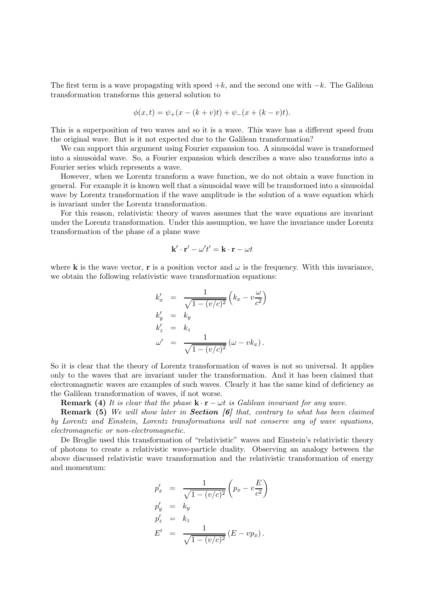The first term is a wave propagating with speed  $+k$ , and the second one with  $-k$ . The Galilean transformation transforms this general solution to

$$
\phi(x,t) = \psi_+(x - (k+v)t) + \psi_-(x + (k-v)t).
$$

This is a superposition of two waves and so it is a wave. This wave has a different speed from the original wave. But is it not expected due to the Galilean transformation?

We can support this argument using Fourier expansion too. A sinusoidal wave is transformed into a sinusoidal wave. So, a Fourier expansion which describes a wave also transforms into a Fourier series which represents a wave.

However, when we Lorentz transform a wave function, we do not obtain a wave function in general. For example it is known well that a sinusoidal wave will be transformed into a sinusoidal wave by Lorentz transformation if the wave amplitude is the solution of a wave equation which is invariant under the Lorentz transformation.

For this reason, relativistic theory of waves assumes that the wave equations are invariant under the Lorentz transformation. Under this assumption, we have the invariance under Lorentz transformation of the phase of a plane wave

$$
\mathbf{k}' \cdot \mathbf{r}' - \omega' t' = \mathbf{k} \cdot \mathbf{r} - \omega t
$$

where **k** is the wave vector, **r** is a position vector and  $\omega$  is the frequency. With this invariance, we obtain the following relativistic wave transformation equations:

$$
k'_x = \frac{1}{\sqrt{1 - (v/c)^2}} \left( k_x - v \frac{\omega}{c^2} \right)
$$
  
\n
$$
k'_y = k_y
$$
  
\n
$$
k'_z = k_z
$$
  
\n
$$
\omega' = \frac{1}{\sqrt{1 - (v/c)^2}} \left( \omega - v k_x \right).
$$

So it is clear that the theory of Lorentz transformation of waves is not so universal. It applies only to the waves that are invariant under the transformation. And it has been claimed that electromagnetic waves are examples of such waves. Clearly it has the same kind of deficiency as the Galilean transformation of waves, if not worse.

**Remark (4)** It is clear that the phase  $\mathbf{k} \cdot \mathbf{r} - \omega t$  is Galilean invariant for any wave.

**Remark (5)** We will show later in **Section [6]** that, contrary to what has been claimed by Lorentz and Einstein, Lorentz transformations will not conserve any of wave equations, electromagnetic or non-electromagnetic.

De Broglie used this transformation of "relativistic" waves and Einstein's relativistic theory of photons to create a relativistic wave-particle duality. Observing an analogy between the above discussed relativistic wave transformation and the relativistic transformation of energy and momentum:

$$
p'_x = \frac{1}{\sqrt{1 - (v/c)^2}} \left( p_x - v \frac{E}{c^2} \right)
$$
  
\n
$$
p'_y = k_y
$$
  
\n
$$
p'_z = k_z
$$
  
\n
$$
E' = \frac{1}{\sqrt{1 - (v/c)^2}} (E - v p_x).
$$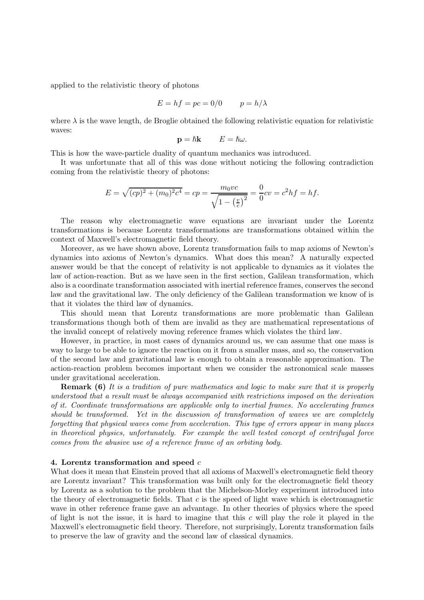applied to the relativistic theory of photons

$$
E = hf = pc = 0/0 \qquad p = h/\lambda
$$

where  $\lambda$  is the wave length, de Broglie obtained the following relativistic equation for relativistic waves:

$$
\mathbf{p} = \hbar \mathbf{k} \qquad E = \hbar \omega.
$$

This is how the wave-particle duality of quantum mechanics was introduced.

It was unfortunate that all of this was done without noticing the following contradiction coming from the relativistic theory of photons:

$$
E = \sqrt{(cp)^2 + (m_0)^2 c^4} = cp = \frac{m_0 vc}{\sqrt{1 - \left(\frac{v}{c}\right)^2}} = \frac{0}{0} cv = c^2 hf = hf.
$$

The reason why electromagnetic wave equations are invariant under the Lorentz transformations is because Lorentz transformations are transformations obtained within the context of Maxwell's electromagnetic field theory.

Moreover, as we have shown above, Lorentz transformation fails to map axioms of Newton's dynamics into axioms of Newton's dynamics. What does this mean? A naturally expected answer would be that the concept of relativity is not applicable to dynamics as it violates the law of action-reaction. But as we have seen in the first section, Galilean transformation, which also is a coordinate transformation associated with inertial reference frames, conserves the second law and the gravitational law. The only deficiency of the Galilean transformation we know of is that it violates the third law of dynamics.

This should mean that Lorentz transformations are more problematic than Galilean transformations though both of them are invalid as they are mathematical representations of the invalid concept of relatively moving reference frames which violates the third law.

However, in practice, in most cases of dynamics around us, we can assume that one mass is way to large to be able to ignore the reaction on it from a smaller mass, and so, the conservation of the second law and gravitational law is enough to obtain a reasonable approximation. The action-reaction problem becomes important when we consider the astronomical scale masses under gravitational acceleration.

**Remark (6)** It is a tradition of pure mathematics and logic to make sure that it is properly understood that a result must be always accompanied with restrictions imposed on the derivation of it. Coordinate transformations are applicable only to inertial frames. No accelerating frames should be transformed. Yet in the discussion of transformation of waves we are completely forgetting that physical waves come from acceleration. This type of errors appear in many places in theoretical physics, unfortunately. For example the well tested concept of centrifugal force comes from the abusive use of a reference frame of an orbiting body.

## 4. Lorentz transformation and speed  $c$

What does it mean that Einstein proved that all axioms of Maxwell's electromagnetic field theory are Lorentz invariant? This transformation was built only for the electromagnetic field theory by Lorentz as a solution to the problem that the Michelson-Morley experiment introduced into the theory of electromagnetic fields. That  $c$  is the speed of light wave which is electromagnetic wave in other reference frame gave an advantage. In other theories of physics where the speed of light is not the issue, it is hard to imagine that this  $c$  will play the role it played in the Maxwell's electromagnetic field theory. Therefore, not surprisingly, Lorentz transformation fails to preserve the law of gravity and the second law of classical dynamics.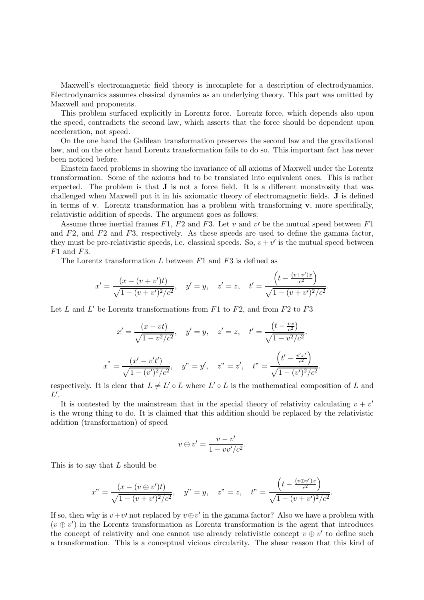Maxwell's electromagnetic field theory is incomplete for a description of electrodynamics. Electrodynamics assumes classical dynamics as an underlying theory. This part was omitted by Maxwell and proponents.

This problem surfaced explicitly in Lorentz force. Lorentz force, which depends also upon the speed, contradicts the second law, which asserts that the force should be dependent upon acceleration, not speed.

On the one hand the Galilean transformation preserves the second law and the gravitational law, and on the other hand Lorentz transformation fails to do so. This important fact has never been noticed before.

Einstein faced problems in showing the invariance of all axioms of Maxwell under the Lorentz transformation. Some of the axioms had to be translated into equivalent ones. This is rather expected. The problem is that J is not a force field. It is a different monstrosity that was challenged when Maxwell put it in his axiomatic theory of electromagnetic fields. J is defined in terms of **v**. Lorentz transformation has a problem with transforming **v**, more specifically, relativistic addition of speeds. The argument goes as follows:

Assume three inertial frames  $F1$ ,  $F2$  and  $F3$ . Let v and v' be the mutual speed between  $F1$ and F2, and F2 and F3, respectively. As these speeds are used to define the gamma factor, they must be pre-relativistic speeds, i.e. classical speeds. So,  $v + v'$  is the mutual speed between  $F1$  and  $F3$ .

The Lorentz transformation  $L$  between  $F1$  and  $F3$  is defined as

$$
x' = \frac{(x - (v + v')t)}{\sqrt{1 - (v + v')^2/c^2}}, \quad y' = y, \quad z' = z, \quad t' = \frac{\left(t - \frac{(v + v')x}{c^2}\right)}{\sqrt{1 - (v + v')^2/c^2}}.
$$

Let L and L' be Lorentz transformations from F1 to F2, and from F2 to F3

$$
x' = \frac{(x - vt)}{\sqrt{1 - v^2/c^2}}, \quad y' = y, \quad z' = z, \quad t' = \frac{\left(t - \frac{vx}{c^2}\right)}{\sqrt{1 - v^2/c^2}}.
$$

$$
x^{"} = \frac{\left(x' - v't'\right)}{\sqrt{1 - (v')^2/c^2}}, \quad y^{"} = y', \quad z^{"} = z', \quad t^{"} = \frac{\left(t' - \frac{v'x'}{c^2}\right)}{\sqrt{1 - (v')^2/c^2}}.
$$

respectively. It is clear that  $L \neq L' \circ L$  where  $L' \circ L$  is the mathematical composition of L and  $L'.$ 

It is contested by the mainstream that in the special theory of relativity calculating  $v + v'$ is the wrong thing to do. It is claimed that this addition should be replaced by the relativistic addition (transformation) of speed

$$
v \oplus v' = \frac{v - v'}{1 - vv'/c^2}.
$$

This is to say that L should be

$$
x" = \frac{(x - (v \oplus v')t)}{\sqrt{1 - (v + v')^2/c^2}}, \quad y" = y, \quad z" = z, \quad t" = \frac{\left(t - \frac{(v \oplus v')x}{c^2}\right)}{\sqrt{1 - (v + v')^2/c^2}}.
$$

If so, then why is  $v + v'$  not replaced by  $v \oplus v'$  in the gamma factor? Also we have a problem with  $(v \oplus v')$  in the Lorentz transformation as Lorentz transformation is the agent that introduces the concept of relativity and one cannot use already relativistic concept  $v \oplus v'$  to define such a transformation. This is a conceptual vicious circularity. The shear reason that this kind of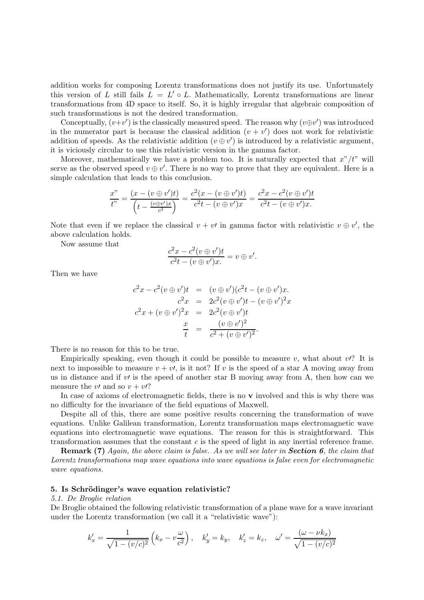addition works for composing Lorentz transformations does not justify its use. Unfortunately this version of L still fails  $L = L' \circ L$ . Mathematically, Lorentz transformations are linear transformations from 4D space to itself. So, it is highly irregular that algebraic composition of such transformations is not the desired transformation.

Conceptually,  $(v+v')$  is the classically measured speed. The reason why  $(v \oplus v')$  was introduced in the numerator part is because the classical addition  $(v + v')$  does not work for relativistic addition of speeds. As the relativistic addition  $(v \oplus v')$  is introduced by a relativistic argument, it is viciously circular to use this relativistic version in the gamma factor.

Moreover, mathematically we have a problem too. It is naturally expected that  $x''/t''$  will serve as the observed speed  $v \oplus v'$ . There is no way to prove that they are equivalent. Here is a simple calculation that leads to this conclusion.

$$
\frac{x''}{t''} = \frac{(x - (v \oplus v')t)}{(t - \frac{(v \oplus v')x}{c^2})} = \frac{c^2(x - (v \oplus v')t)}{c^2t - (v \oplus v')x} = \frac{c^2x - c^2(v \oplus v')t}{c^2t - (v \oplus v')x}.
$$

Note that even if we replace the classical  $v + v'$  in gamma factor with relativistic  $v \oplus v'$ , the above calculation holds.

Now assume that

$$
\frac{c^2x - c^2(v \oplus v')t}{c^2t - (v \oplus v')x} = v \oplus v'.
$$

Then we have

$$
c^{2}x - c^{2}(v \oplus v')t = (v \oplus v')(c^{2}t - (v \oplus v')x.\nc^{2}x = 2c^{2}(v \oplus v')t - (v \oplus v')^{2}x\nc^{2}x + (v \oplus v')^{2}x = 2c^{2}(v \oplus v')t\n\frac{x}{t} = \frac{(v \oplus v')^{2}}{c^{2} + (v \oplus v')^{2}}.
$$

There is no reason for this to be true.

Empirically speaking, even though it could be possible to measure v, what about  $v$ ? It is next to impossible to measure  $v + v'$ , is it not? If v is the speed of a star A moving away from us in distance and if  $v'$  is the speed of another star B moving away from A, then how can we measure the v' and so  $v + v$ ?

In case of axioms of electromagnetic fields, there is no v involved and this is why there was no difficulty for the invariance of the field equations of Maxwell.

Despite all of this, there are some positive results concerning the transformation of wave equations. Unlike Galilean transformation, Lorentz transformation maps electromagnetic wave equations into electromagnetic wave equations. The reason for this is straightforward. This transformation assumes that the constant c is the speed of light in any inertial reference frame.

**Remark (7)** Again, the above claim is false. As we will see later in **Section 6**, the claim that Lorentz transformations map wave equations into wave equations is false even for electromagnetic wave equations.

## 5. Is Schrödinger's wave equation relativistic?

## 5.1. De Broglie relation

De Broglie obtained the following relativistic transformation of a plane wave for a wave invariant under the Lorentz transformation (we call it a "relativistic wave"):

$$
k'_x = \frac{1}{\sqrt{1 - (v/c)^2}} \left( k_x - v\frac{\omega}{c^2} \right), \quad k'_y = k_y, \quad k'_z = k_z, \quad \omega' = \frac{(\omega - \nu k_x)}{\sqrt{1 - (v/c)^2}}
$$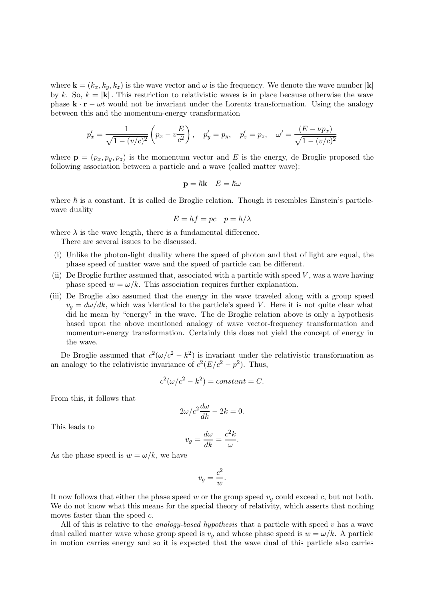where  $\mathbf{k} = (k_x, k_y, k_z)$  is the wave vector and  $\omega$  is the frequency. We denote the wave number  $|\mathbf{k}|$ by k. So,  $k = |\mathbf{k}|$ . This restriction to relativistic waves is in place because otherwise the wave phase  $\mathbf{k} \cdot \mathbf{r} - \omega t$  would not be invariant under the Lorentz transformation. Using the analogy between this and the momentum-energy transformation

$$
p'_x = \frac{1}{\sqrt{1 - (v/c)^2}} \left( p_x - v \frac{E}{c^2} \right), \quad p'_y = p_y, \quad p'_z = p_z, \quad \omega' = \frac{(E - \nu p_x)}{\sqrt{1 - (v/c)^2}}
$$

where  $\mathbf{p} = (p_x, p_y, p_z)$  is the momentum vector and E is the energy, de Broglie proposed the following association between a particle and a wave (called matter wave):

$$
\mathbf{p} = \hbar \mathbf{k} \quad E = \hbar \omega
$$

where  $\hbar$  is a constant. It is called de Broglie relation. Though it resembles Einstein's particlewave duality

$$
E = hf = pc \quad p = h/\lambda
$$

where  $\lambda$  is the wave length, there is a fundamental difference.

There are several issues to be discussed.

- (i) Unlike the photon-light duality where the speed of photon and that of light are equal, the phase speed of matter wave and the speed of particle can be different.
- (ii) De Broglie further assumed that, associated with a particle with speed  $V$ , was a wave having phase speed  $w = \omega/k$ . This association requires further explanation.
- (iii) De Broglie also assumed that the energy in the wave traveled along with a group speed  $v_q = d\omega/dk$ , which was identical to the particle's speed V. Here it is not quite clear what did he mean by "energy" in the wave. The de Broglie relation above is only a hypothesis based upon the above mentioned analogy of wave vector-frequency transformation and momentum-energy transformation. Certainly this does not yield the concept of energy in the wave.

De Broglie assumed that  $c^2(\omega/c^2 - k^2)$  is invariant under the relativistic transformation as an analogy to the relativistic invariance of  $c^2(E/c^2 - p^2)$ . Thus,

$$
c^2(\omega/c^2 - k^2) = constant = C.
$$

From this, it follows that

$$
2\omega/c^2 \frac{d\omega}{dk} - 2k = 0.
$$

This leads to

$$
v_g = \frac{d\omega}{dk} = \frac{c^2k}{\omega}
$$

.

As the phase speed is  $w = \omega/k$ , we have

$$
v_g = \frac{c^2}{w}.
$$

It now follows that either the phase speed w or the group speed  $v<sub>q</sub>$  could exceed c, but not both. We do not know what this means for the special theory of relativity, which asserts that nothing moves faster than the speed  $c$ .

All of this is relative to the *analogy-based hypothesis* that a particle with speed  $v$  has a wave dual called matter wave whose group speed is  $v_q$  and whose phase speed is  $w = \omega/k$ . A particle in motion carries energy and so it is expected that the wave dual of this particle also carries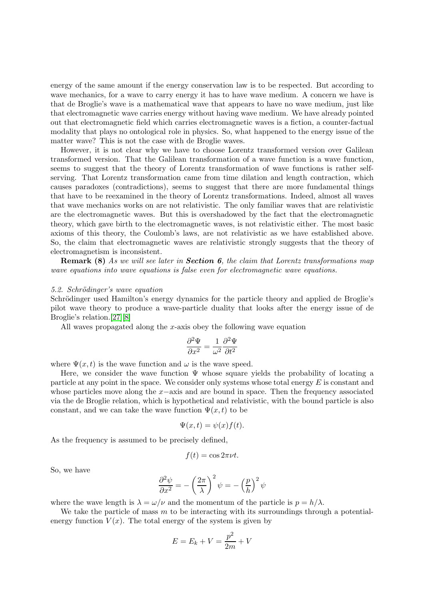energy of the same amount if the energy conservation law is to be respected. But according to wave mechanics, for a wave to carry energy it has to have wave medium. A concern we have is that de Broglie's wave is a mathematical wave that appears to have no wave medium, just like that electromagnetic wave carries energy without having wave medium. We have already pointed out that electromagnetic field which carries electromagnetic waves is a fiction, a counter-factual modality that plays no ontological role in physics. So, what happened to the energy issue of the matter wave? This is not the case with de Broglie waves.

However, it is not clear why we have to choose Lorentz transformed version over Galilean transformed version. That the Galilean transformation of a wave function is a wave function, seems to suggest that the theory of Lorentz transformation of wave functions is rather selfserving. That Lorentz transformation came from time dilation and length contraction, which causes paradoxes (contradictions), seems to suggest that there are more fundamental things that have to be reexamined in the theory of Lorentz transformations. Indeed, almost all waves that wave mechanics works on are not relativistic. The only familiar waves that are relativistic are the electromagnetic waves. But this is overshadowed by the fact that the electromagnetic theory, which gave birth to the electromagnetic waves, is not relativistic either. The most basic axioms of this theory, the Coulomb's laws, are not relativistic as we have established above. So, the claim that electromagnetic waves are relativistic strongly suggests that the theory of electromagnetism is inconsistent.

**Remark (8)** As we will see later in **Section 6**, the claim that Lorentz transformations map wave equations into wave equations is false even for electromagnetic wave equations.

#### 5.2. Schrödinger's wave equation

Schrödinger used Hamilton's energy dynamics for the particle theory and applied de Broglie's pilot wave theory to produce a wave-particle duality that looks after the energy issue of de Broglie's relation.[\[27\]](#page-22-1)[\[8\]](#page-21-2)

All waves propagated along the x-axis obey the following wave equation

$$
\frac{\partial^2 \Psi}{\partial x^2} = \frac{1}{\omega^2} \frac{\partial^2 \Psi}{\partial t^2}
$$

where  $\Psi(x, t)$  is the wave function and  $\omega$  is the wave speed.

Here, we consider the wave function  $\Psi$  whose square yields the probability of locating a particle at any point in the space. We consider only systems whose total energy  $E$  is constant and whose particles move along the  $x$ −axis and are bound in space. Then the frequency associated via the de Broglie relation, which is hypothetical and relativistic, with the bound particle is also constant, and we can take the wave function  $\Psi(x, t)$  to be

$$
\Psi(x,t) = \psi(x)f(t).
$$

As the frequency is assumed to be precisely defined,

$$
f(t) = \cos 2\pi \nu t.
$$

So, we have

$$
\frac{\partial^2 \psi}{\partial x^2} = -\left(\frac{2\pi}{\lambda}\right)^2 \psi = -\left(\frac{p}{h}\right)^2 \psi
$$

where the wave length is  $\lambda = \omega/\nu$  and the momentum of the particle is  $p = h/\lambda$ .

We take the particle of mass m to be interacting with its surroundings through a potentialenergy function  $V(x)$ . The total energy of the system is given by

$$
E = E_k + V = \frac{p^2}{2m} + V
$$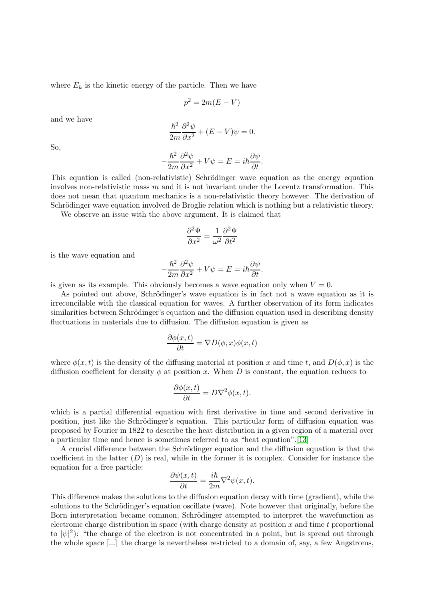where  $E_k$  is the kinetic energy of the particle. Then we have

$$
p^2 = 2m(E - V)
$$

and we have

$$
\frac{\hbar^2}{2m}\frac{\partial^2\psi}{\partial x^2} + (E - V)\psi = 0.
$$

So,

$$
-\frac{\hbar^2}{2m}\frac{\partial^2\psi}{\partial x^2} + V\psi = E = i\hbar\frac{\partial\psi}{\partial t}.
$$

This equation is called (non-relativistic) Schrödinger wave equation as the energy equation involves non-relativistic mass  $m$  and it is not invariant under the Lorentz transformation. This does not mean that quantum mechanics is a non-relativistic theory however. The derivation of Schrödinger wave equation involved de Broglie relation which is nothing but a relativistic theory.

We observe an issue with the above argument. It is claimed that

$$
\frac{\partial^2 \Psi}{\partial x^2} = \frac{1}{\omega^2} \frac{\partial^2 \Psi}{\partial t^2}
$$

is the wave equation and

$$
-\frac{\hbar^2}{2m}\frac{\partial^2\psi}{\partial x^2} + V\psi = E = i\hbar\frac{\partial\psi}{\partial t}.
$$

is given as its example. This obviously becomes a wave equation only when  $V = 0$ .

As pointed out above, Schrödinger's wave equation is in fact not a wave equation as it is irreconcilable with the classical equation for waves. A further observation of its form indicates similarities between Schrödinger's equation and the diffusion equation used in describing density fluctuations in materials due to diffusion. The diffusion equation is given as

$$
\frac{\partial \phi(x,t)}{\partial t} = \nabla D(\phi, x)\phi(x,t)
$$

where  $\phi(x, t)$  is the density of the diffusing material at position x and time t, and  $D(\phi, x)$  is the diffusion coefficient for density  $\phi$  at position x. When D is constant, the equation reduces to

$$
\frac{\partial \phi(x,t)}{\partial t} = D\nabla^2 \phi(x,t).
$$

which is a partial differential equation with first derivative in time and second derivative in position, just like the Schrödinger's equation. This particular form of diffusion equation was proposed by Fourier in 1822 to describe the heat distribution in a given region of a material over a particular time and hence is sometimes referred to as "heat equation".[\[13\]](#page-21-3)

A crucial difference between the Schrödinger equation and the diffusion equation is that the coefficient in the latter  $(D)$  is real, while in the former it is complex. Consider for instance the equation for a free particle:

$$
\frac{\partial \psi(x,t)}{\partial t} = \frac{i\hbar}{2m}\nabla^2 \psi(x,t).
$$

This difference makes the solutions to the diffusion equation decay with time (gradient), while the solutions to the Schrödinger's equation oscillate (wave). Note however that originally, before the Born interpretation became common, Schrödinger attempted to interpret the wavefunction as electronic charge distribution in space (with charge density at position  $x$  and time  $t$  proportional to  $|\psi|^2$ ): "the charge of the electron is not concentrated in a point, but is spread out through the whole space [...] the charge is nevertheless restricted to a domain of, say, a few Angstroms,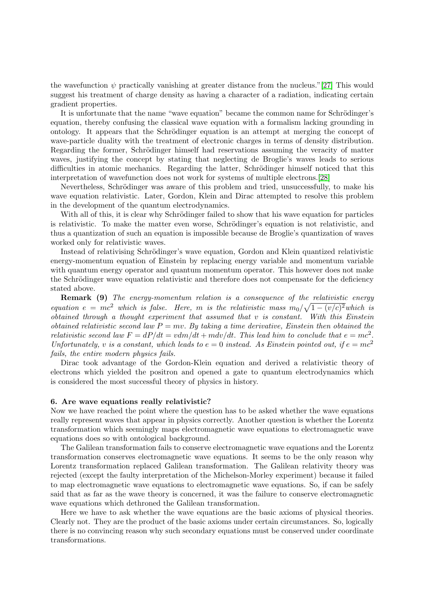the wavefunction  $\psi$  practically vanishing at greater distance from the nucleus."[\[27\]](#page-22-1) This would suggest his treatment of charge density as having a character of a radiation, indicating certain gradient properties.

It is unfortunate that the name "wave equation" became the common name for Schrödinger's equation, thereby confusing the classical wave equation with a formalism lacking grounding in ontology. It appears that the Schrödinger equation is an attempt at merging the concept of wave-particle duality with the treatment of electronic charges in terms of density distribution. Regarding the former, Schrödinger himself had reservations assuming the veracity of matter waves, justifying the concept by stating that neglecting de Broglie's waves leads to serious difficulties in atomic mechanics. Regarding the latter, Schrödinger himself noticed that this interpretation of wavefunction does not work for systems of multiple electrons.[\[28\]](#page-22-2)

Nevertheless, Schrödinger was aware of this problem and tried, unsuccessfully, to make his wave equation relativistic. Later, Gordon, Klein and Dirac attempted to resolve this problem in the development of the quantum electrodynamics.

With all of this, it is clear why Schrödinger failed to show that his wave equation for particles is relativistic. To make the matter even worse, Schrödinger's equation is not relativistic, and thus a quantization of such an equation is impossible because de Broglie's quantization of waves worked only for relativistic waves.

Instead of relativising Schrödinger's wave equation, Gordon and Klein quantized relativistic energy-momentum equation of Einstein by replacing energy variable and momentum variable with quantum energy operator and quantum momentum operator. This however does not make the Schrödinger wave equation relativistic and therefore does not compensate for the deficiency stated above.

**Remark (9)** The energy-momentum relation is a consequence of the relativistic energy equation  $e = mc^2$  which is false. Here, m is the relativistic mass  $m_0/\sqrt{1-(v/c)^2}$  which is obtained through a thought experiment that assumed that v is constant. With this Einstein obtained relativistic second law  $P = mv$ . By taking a time derivative, Einstein then obtained the relativistic second law  $F = dP/dt = v dm/dt + m dv/dt$ . This lead him to conclude that  $e = mc^2$ . Unfortunately, v is a constant, which leads to  $e = 0$  instead. As Einstein pointed out, if  $e = mc^2$ fails, the entire modern physics fails.

Dirac took advantage of the Gordon-Klein equation and derived a relativistic theory of electrons which yielded the positron and opened a gate to quantum electrodynamics which is considered the most successful theory of physics in history.

#### 6. Are wave equations really relativistic?

Now we have reached the point where the question has to be asked whether the wave equations really represent waves that appear in physics correctly. Another question is whether the Lorentz transformation which seemingly maps electromagnetic wave equations to electromagnetic wave equations does so with ontological background.

The Galilean transformation fails to conserve electromagnetic wave equations and the Lorentz transformation conserves electromagnetic wave equations. It seems to be the only reason why Lorentz transformation replaced Galilean transformation. The Galilean relativity theory was rejected (except the faulty interpretation of the Michelson-Morley experiment) because it failed to map electromagnetic wave equations to electromagnetic wave equations. So, if can be safely said that as far as the wave theory is concerned, it was the failure to conserve electromagnetic wave equations which dethroned the Galilean transformation.

Here we have to ask whether the wave equations are the basic axioms of physical theories. Clearly not. They are the product of the basic axioms under certain circumstances. So, logically there is no convincing reason why such secondary equations must be conserved under coordinate transformations.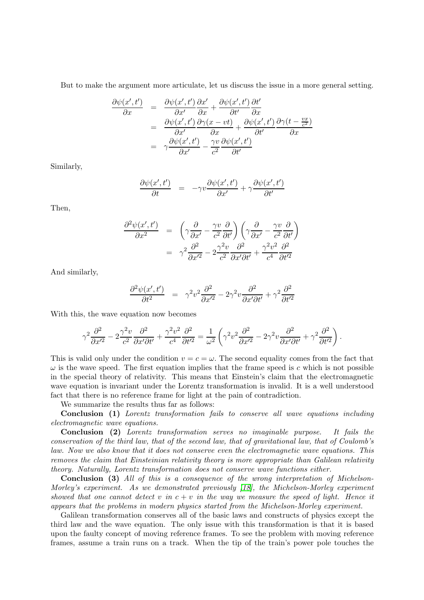But to make the argument more articulate, let us discuss the issue in a more general setting.

$$
\frac{\partial \psi(x',t')}{\partial x} = \frac{\partial \psi(x',t')}{\partial x'} \frac{\partial x'}{\partial x} + \frac{\partial \psi(x',t')}{\partial t'} \frac{\partial t'}{\partial x} \n= \frac{\partial \psi(x',t')}{\partial x'} \frac{\partial \gamma(x-vt)}{\partial x} + \frac{\partial \psi(x',t')}{\partial t'} \frac{\partial \gamma(t-\frac{vx}{c^2})}{\partial x} \n= \gamma \frac{\partial \psi(x',t')}{\partial x'} - \frac{\gamma v}{c^2} \frac{\partial \psi(x',t')}{\partial t'}
$$

Similarly,

$$
\frac{\partial \psi(x',t')}{\partial t} = -\gamma v \frac{\partial \psi(x',t')}{\partial x'} + \gamma \frac{\partial \psi(x',t')}{\partial t'}
$$

Then,

$$
\frac{\partial^2 \psi(x',t')}{\partial x^2} = \left(\gamma \frac{\partial}{\partial x'} - \frac{\gamma v}{c^2} \frac{\partial}{\partial t'}\right) \left(\gamma \frac{\partial}{\partial x'} - \frac{\gamma v}{c^2} \frac{\partial}{\partial t'}\right)
$$

$$
= \gamma^2 \frac{\partial^2}{\partial x'^2} - 2 \frac{\gamma^2 v}{c^2} \frac{\partial^2}{\partial x' \partial t'} + \frac{\gamma^2 v^2}{c^4} \frac{\partial^2}{\partial t'^2}
$$

And similarly,

$$
\frac{\partial^2 \psi(x',t')}{\partial t^2} = \gamma^2 v^2 \frac{\partial^2}{\partial x'^2} - 2\gamma^2 v \frac{\partial^2}{\partial x' \partial t'} + \gamma^2 \frac{\partial^2}{\partial t'^2}
$$

With this, the wave equation now becomes

$$
\gamma^2 \frac{\partial^2}{\partial x'^2} - 2 \frac{\gamma^2 v}{c^2} \frac{\partial^2}{\partial x' \partial t'} + \frac{\gamma^2 v^2}{c^4} \frac{\partial^2}{\partial t'^2} = \frac{1}{\omega^2} \left( \gamma^2 v^2 \frac{\partial^2}{\partial x'^2} - 2 \gamma^2 v \frac{\partial^2}{\partial x' \partial t'} + \gamma^2 \frac{\partial^2}{\partial t'^2} \right).
$$

This is valid only under the condition  $v = c = \omega$ . The second equality comes from the fact that  $\omega$  is the wave speed. The first equation implies that the frame speed is c which is not possible in the special theory of relativity. This means that Einstein's claim that the electromagnetic wave equation is invariant under the Lorentz transformation is invalid. It is a well understood fact that there is no reference frame for light at the pain of contradiction.

We summarize the results thus far as follows:

Conclusion (1) Lorentz transformation fails to conserve all wave equations including electromagnetic wave equations.

Conclusion (2) Lorentz transformation serves no imaginable purpose. It fails the conservation of the third law, that of the second law, that of gravitational law, that of Coulomb's law. Now we also know that it does not conserve even the electromagnetic wave equations. This removes the claim that Einsteinian relativity theory is more appropriate than Galilean relativity theory. Naturally, Lorentz transformation does not conserve wave functions either.

Conclusion (3) All of this is a consequence of the wrong interpretation of Michelson-Morley's experiment. As we demonstrated previously [\[18\]](#page-22-3), the Michelson-Morley experiment showed that one cannot detect v in  $c + v$  in the way we measure the speed of light. Hence it appears that the problems in modern physics started from the Michelson-Morley experiment.

Galilean transformation conserves all of the basic laws and constructs of physics except the third law and the wave equation. The only issue with this transformation is that it is based upon the faulty concept of moving reference frames. To see the problem with moving reference frames, assume a train runs on a track. When the tip of the train's power pole touches the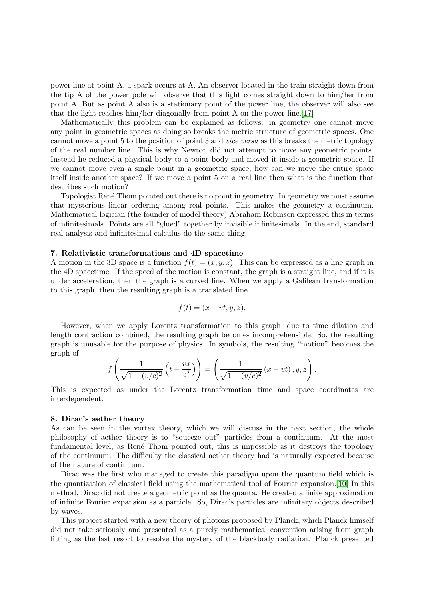power line at point A, a spark occurs at A. An observer located in the train straight down from the tip A of the power pole will observe that this light comes straight down to him/her from point A. But as point A also is a stationary point of the power line, the observer will also see that the light reaches him/her diagonally from point A on the power line.[\[17\]](#page-22-4)

Mathematically this problem can be explained as follows: in geometry one cannot move any point in geometric spaces as doing so breaks the metric structure of geometric spaces. One cannot move a point 5 to the position of point 3 and vice versa as this breaks the metric topology of the real number line. This is why Newton did not attempt to move any geometric points. Instead he reduced a physical body to a point body and moved it inside a geometric space. If we cannot move even a single point in a geometric space, how can we move the entire space itself inside another space? If we move a point 5 on a real line then what is the function that describes such motion?

Topologist René Thom pointed out there is no point in geometry. In geometry we must assume that mysterious linear ordering among real points. This makes the geometry a continuum. Mathematical logician (the founder of model theory) Abraham Robinson expressed this in terms of infinitesimals. Points are all "glued" together by invisible infinitesimals. In the end, standard real analysis and infinitesimal calculus do the same thing.

#### 7. Relativistic transformations and 4D spacetime

A motion in the 3D space is a function  $f(t) = (x, y, z)$ . This can be expressed as a line graph in the 4D spacetime. If the speed of the motion is constant, the graph is a straight line, and if it is under acceleration, then the graph is a curved line. When we apply a Galilean transformation to this graph, then the resulting graph is a translated line.

$$
f(t) = (x - vt, y, z).
$$

However, when we apply Lorentz transformation to this graph, due to time dilation and length contraction combined, the resulting graph becomes incomprehensible. So, the resulting graph is unusable for the purpose of physics. In symbols, the resulting "motion" becomes the graph of

$$
f\left(\frac{1}{\sqrt{1-(v/c)^2}}\left(t-\frac{vx}{c^2}\right)\right)=\left(\frac{1}{\sqrt{1-(v/c)^2}}\left(x-vt\right),y,z\right).
$$

This is expected as under the Lorentz transformation time and space coordinates are interdependent.

#### 8. Dirac's aether theory

As can be seen in the vortex theory, which we will discuss in the next section, the whole philosophy of aether theory is to "squeeze out" particles from a continuum. At the most fundamental level, as René Thom pointed out, this is impossible as it destroys the topology of the continuum. The difficulty the classical aether theory had is naturally expected because of the nature of continuum.

Dirac was the first who managed to create this paradigm upon the quantum field which is the quantization of classical field using the mathematical tool of Fourier expansion.[\[10\]](#page-21-4) In this method, Dirac did not create a geometric point as the quanta. He created a finite approximation of infinite Fourier expansion as a particle. So, Dirac's particles are infinitary objects described by waves.

This project started with a new theory of photons proposed by Planck, which Planck himself did not take seriously and presented as a purely mathematical convention arising from graph fitting as the last resort to resolve the mystery of the blackbody radiation. Planck presented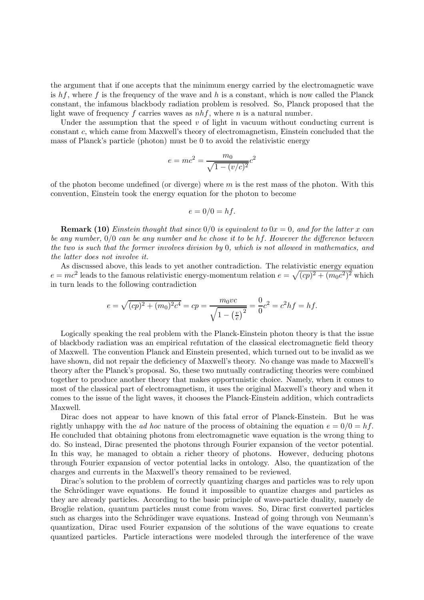the argument that if one accepts that the minimum energy carried by the electromagnetic wave is  $hf$ , where f is the frequency of the wave and h is a constant, which is now called the Planck constant, the infamous blackbody radiation problem is resolved. So, Planck proposed that the light wave of frequency f carries waves as  $nhf$ , where n is a natural number.

Under the assumption that the speed  $v$  of light in vacuum without conducting current is constant c, which came from Maxwell's theory of electromagnetism, Einstein concluded that the mass of Planck's particle (photon) must be 0 to avoid the relativistic energy

$$
e = mc^2 = \frac{m_0}{\sqrt{1 - (v/c)^2}}c^2
$$

of the photon become undefined (or diverge) where  $m$  is the rest mass of the photon. With this convention, Einstein took the energy equation for the photon to become

$$
e = 0/0 = hf.
$$

**Remark (10)** Einstein thought that since  $0/0$  is equivalent to  $0x = 0$ , and for the latter x can be any number,  $0/0$  can be any number and he chose it to be hf. However the difference between the two is such that the former involves division by 0, which is not allowed in mathematics, and the latter does not involve it.

As discussed above, this leads to yet another contradiction. The relativistic energy equation  $e = mc^2$  leads to the famous relativistic energy-momentum relation  $e = \sqrt{(cp)^2 + (m_0c^2)^2}$  which in turn leads to the following contradiction

$$
e = \sqrt{(cp)^2 + (m_0)^2 c^4} = cp = \frac{m_0 vc}{\sqrt{1 - \left(\frac{v}{c}\right)^2}} = \frac{0}{0}c^2 = c^2 hf = hf.
$$

Logically speaking the real problem with the Planck-Einstein photon theory is that the issue of blackbody radiation was an empirical refutation of the classical electromagnetic field theory of Maxwell. The convention Planck and Einstein presented, which turned out to be invalid as we have shown, did not repair the deficiency of Maxwell's theory. No change was made to Maxwell's theory after the Planck's proposal. So, these two mutually contradicting theories were combined together to produce another theory that makes opportunistic choice. Namely, when it comes to most of the classical part of electromagnetism, it uses the original Maxwell's theory and when it comes to the issue of the light waves, it chooses the Planck-Einstein addition, which contradicts Maxwell.

Dirac does not appear to have known of this fatal error of Planck-Einstein. But he was rightly unhappy with the *ad hoc* nature of the process of obtaining the equation  $e = 0/0 = hf$ . He concluded that obtaining photons from electromagnetic wave equation is the wrong thing to do. So instead, Dirac presented the photons through Fourier expansion of the vector potential. In this way, he managed to obtain a richer theory of photons. However, deducing photons through Fourier expansion of vector potential lacks in ontology. Also, the quantization of the charges and currents in the Maxwell's theory remained to be reviewed.

Dirac's solution to the problem of correctly quantizing charges and particles was to rely upon the Schrödinger wave equations. He found it impossible to quantize charges and particles as they are already particles. According to the basic principle of wave-particle duality, namely de Broglie relation, quantum particles must come from waves. So, Dirac first converted particles such as charges into the Schrödinger wave equations. Instead of going through von Neumann's quantization, Dirac used Fourier expansion of the solutions of the wave equations to create quantized particles. Particle interactions were modeled through the interference of the wave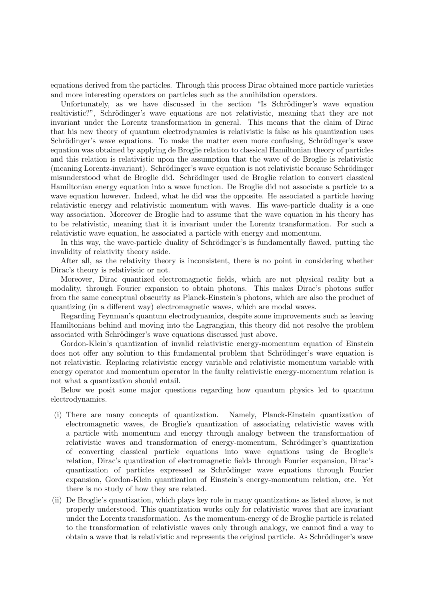equations derived from the particles. Through this process Dirac obtained more particle varieties and more interesting operators on particles such as the annihilation operators.

Unfortunately, as we have discussed in the section "Is Schrödinger's wave equation realtivistic?", Schrödinger's wave equations are not relativistic, meaning that they are not invariant under the Lorentz transformation in general. This means that the claim of Dirac that his new theory of quantum electrodynamics is relativistic is false as his quantization uses Schrödinger's wave equations. To make the matter even more confusing, Schrödinger's wave equation was obtained by applying de Broglie relation to classical Hamiltonian theory of particles and this relation is relativistic upon the assumption that the wave of de Broglie is relativistic (meaning Lorentz-invariant). Schrödinger's wave equation is not relativistic because Schrödinger misunderstood what de Broglie did. Schrödinger used de Broglie relation to convert classical Hamiltonian energy equation into a wave function. De Broglie did not associate a particle to a wave equation however. Indeed, what he did was the opposite. He associated a particle having relativistic energy and relativistic momentum with waves. His wave-particle duality is a one way association. Moreover de Broglie had to assume that the wave equation in his theory has to be relativistic, meaning that it is invariant under the Lorentz transformation. For such a relativistic wave equation, he associated a particle with energy and momentum.

In this way, the wave-particle duality of Schrödinger's is fundamentally flawed, putting the invalidity of relativity theory aside.

After all, as the relativity theory is inconsistent, there is no point in considering whether Dirac's theory is relativistic or not.

Moreover, Dirac quantized electromagnetic fields, which are not physical reality but a modality, through Fourier expansion to obtain photons. This makes Dirac's photons suffer from the same conceptual obscurity as Planck-Einstein's photons, which are also the product of quantizing (in a different way) electromagnetic waves, which are modal waves.

Regarding Feynman's quantum electrodynamics, despite some improvements such as leaving Hamiltonians behind and moving into the Lagrangian, this theory did not resolve the problem associated with Schrödinger's wave equations discussed just above.

Gordon-Klein's quantization of invalid relativistic energy-momentum equation of Einstein does not offer any solution to this fundamental problem that Schrödinger's wave equation is not relativistic. Replacing relativistic energy variable and relativistic momentum variable with energy operator and momentum operator in the faulty relativistic energy-momentum relation is not what a quantization should entail.

Below we posit some major questions regarding how quantum physics led to quantum electrodynamics.

- (i) There are many concepts of quantization. Namely, Planck-Einstein quantization of electromagnetic waves, de Broglie's quantization of associating relativistic waves with a particle with momentum and energy through analogy between the transformation of relativistic waves and transformation of energy-momentum, Schrödinger's quantization of converting classical particle equations into wave equations using de Broglie's relation, Dirac's quantization of electromagnetic fields through Fourier expansion, Dirac's quantization of particles expressed as Schrödinger wave equations through Fourier expansion, Gordon-Klein quantization of Einstein's energy-momentum relation, etc. Yet there is no study of how they are related.
- (ii) De Broglie's quantization, which plays key role in many quantizations as listed above, is not properly understood. This quantization works only for relativistic waves that are invariant under the Lorentz transformation. As the momentum-energy of de Broglie particle is related to the transformation of relativistic waves only through analogy, we cannot find a way to obtain a wave that is relativistic and represents the original particle. As Schrödinger's wave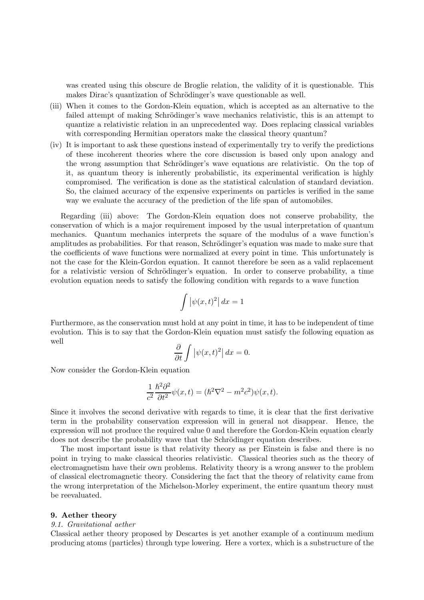was created using this obscure de Broglie relation, the validity of it is questionable. This makes Dirac's quantization of Schrödinger's wave questionable as well.

- (iii) When it comes to the Gordon-Klein equation, which is accepted as an alternative to the failed attempt of making Schrödinger's wave mechanics relativistic, this is an attempt to quantize a relativistic relation in an unprecedented way. Does replacing classical variables with corresponding Hermitian operators make the classical theory quantum?
- (iv) It is important to ask these questions instead of experimentally try to verify the predictions of these incoherent theories where the core discussion is based only upon analogy and the wrong assumption that Schrödinger's wave equations are relativistic. On the top of it, as quantum theory is inherently probabilistic, its experimental verification is highly compromised. The verification is done as the statistical calculation of standard deviation. So, the claimed accuracy of the expensive experiments on particles is verified in the same way we evaluate the accuracy of the prediction of the life span of automobiles.

Regarding (iii) above: The Gordon-Klein equation does not conserve probability, the conservation of which is a major requirement imposed by the usual interpretation of quantum mechanics. Quantum mechanics interprets the square of the modulus of a wave function's amplitudes as probabilities. For that reason, Schrödinger's equation was made to make sure that the coefficients of wave functions were normalized at every point in time. This unfortunately is not the case for the Klein-Gordon equation. It cannot therefore be seen as a valid replacement for a relativistic version of Schrödinger's equation. In order to conserve probability, a time evolution equation needs to satisfy the following condition with regards to a wave function

$$
\int |\psi(x,t)^2| \, dx = 1
$$

Furthermore, as the conservation must hold at any point in time, it has to be independent of time evolution. This is to say that the Gordon-Klein equation must satisfy the following equation as well

$$
\frac{\partial}{\partial t} \int |\psi(x, t)^2| \, dx = 0.
$$

Now consider the Gordon-Klein equation

$$
\frac{1}{c^2} \frac{\hbar^2 \partial^2}{\partial t^2} \psi(x,t) = (\hbar^2 \nabla^2 - m^2 c^2) \psi(x,t).
$$

Since it involves the second derivative with regards to time, it is clear that the first derivative term in the probability conservation expression will in general not disappear. Hence, the expression will not produce the required value 0 and therefore the Gordon-Klein equation clearly does not describe the probability wave that the Schrödinger equation describes.

The most important issue is that relativity theory as per Einstein is false and there is no point in trying to make classical theories relativistic. Classical theories such as the theory of electromagnetism have their own problems. Relativity theory is a wrong answer to the problem of classical electromagnetic theory. Considering the fact that the theory of relativity came from the wrong interpretation of the Michelson-Morley experiment, the entire quantum theory must be reevaluated.

#### 9. Aether theory

## 9.1. Gravitational aether

Classical aether theory proposed by Descartes is yet another example of a continuum medium producing atoms (particles) through type lowering. Here a vortex, which is a substructure of the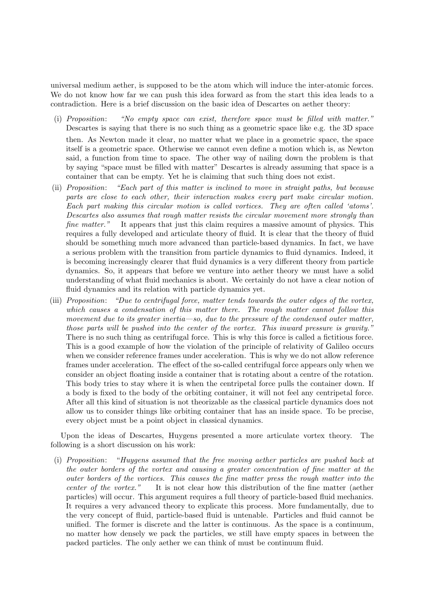universal medium aether, is supposed to be the atom which will induce the inter-atomic forces. We do not know how far we can push this idea forward as from the start this idea leads to a contradiction. Here is a brief discussion on the basic idea of Descartes on aether theory:

- (i) Proposition: "No empty space can exist, therefore space must be filled with matter." Descartes is saying that there is no such thing as a geometric space like e.g. the 3D space then. As Newton made it clear, no matter what we place in a geometric space, the space itself is a geometric space. Otherwise we cannot even define a motion which is, as Newton said, a function from time to space. The other way of nailing down the problem is that by saying "space must be filled with matter" Descartes is already assuming that space is a container that can be empty. Yet he is claiming that such thing does not exist.
- (ii) Proposition: "Each part of this matter is inclined to move in straight paths, but because parts are close to each other, their interaction makes every part make circular motion. Each part making this circular motion is called vortices. They are often called 'atoms'. Descartes also assumes that rough matter resists the circular movement more strongly than fine matter." It appears that just this claim requires a massive amount of physics. This requires a fully developed and articulate theory of fluid. It is clear that the theory of fluid should be something much more advanced than particle-based dynamics. In fact, we have a serious problem with the transition from particle dynamics to fluid dynamics. Indeed, it is becoming increasingly clearer that fluid dynamics is a very different theory from particle dynamics. So, it appears that before we venture into aether theory we must have a solid understanding of what fluid mechanics is about. We certainly do not have a clear notion of fluid dynamics and its relation with particle dynamics yet.
- (iii) Proposition: "Due to centrifugal force, matter tends towards the outer edges of the vortex, which causes a condensation of this matter there. The rough matter cannot follow this movement due to its greater inertia—so, due to the pressure of the condensed outer matter, those parts will be pushed into the center of the vortex. This inward pressure is gravity." There is no such thing as centrifugal force. This is why this force is called a fictitious force. This is a good example of how the violation of the principle of relativity of Galileo occurs when we consider reference frames under acceleration. This is why we do not allow reference frames under acceleration. The effect of the so-called centrifugal force appears only when we consider an object floating inside a container that is rotating about a centre of the rotation. This body tries to stay where it is when the centripetal force pulls the container down. If a body is fixed to the body of the orbiting container, it will not feel any centripetal force. After all this kind of situation is not theorizable as the classical particle dynamics does not allow us to consider things like orbiting container that has an inside space. To be precise, every object must be a point object in classical dynamics.

Upon the ideas of Descartes, Huygens presented a more articulate vortex theory. The following is a short discussion on his work:

(i) Proposition: "Huygens assumed that the free moving aether particles are pushed back at the outer borders of the vortex and causing a greater concentration of fine matter at the outer borders of the vortices. This causes the fine matter press the rough matter into the center of the vortex." It is not clear how this distribution of the fine matter (aether particles) will occur. This argument requires a full theory of particle-based fluid mechanics. It requires a very advanced theory to explicate this process. More fundamentally, due to the very concept of fluid, particle-based fluid is untenable. Particles and fluid cannot be unified. The former is discrete and the latter is continuous. As the space is a continuum, no matter how densely we pack the particles, we still have empty spaces in between the packed particles. The only aether we can think of must be continuum fluid.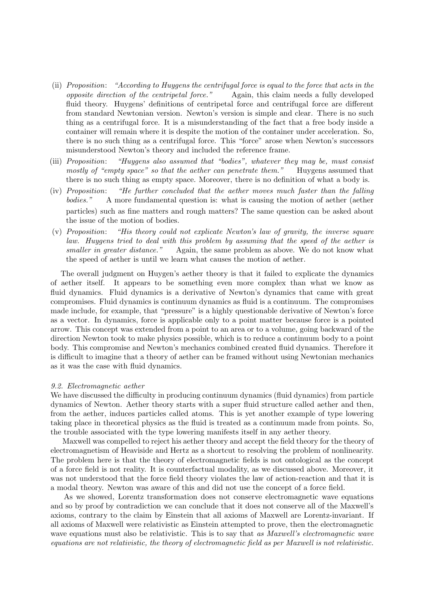- (ii) Proposition: "According to Huygens the centrifugal force is equal to the force that acts in the opposite direction of the centripetal force." Again, this claim needs a fully developed fluid theory. Huygens' definitions of centripetal force and centrifugal force are different from standard Newtonian version. Newton's version is simple and clear. There is no such thing as a centrifugal force. It is a misunderstanding of the fact that a free body inside a container will remain where it is despite the motion of the container under acceleration. So, there is no such thing as a centrifugal force. This "force" arose when Newton's successors misunderstood Newton's theory and included the reference frame.
- (iii) Proposition: "Huygens also assumed that "bodies", whatever they may be, must consist mostly of "empty space" so that the aether can penetrate them." Huygens assumed that there is no such thing as empty space. Moreover, there is no definition of what a body is.
- (iv) Proposition: "He further concluded that the aether moves much faster than the falling bodies." A more fundamental question is: what is causing the motion of aether (aether particles) such as fine matters and rough matters? The same question can be asked about the issue of the motion of bodies.
- (v) Proposition: "His theory could not explicate Newton's law of gravity, the inverse square law. Huygens tried to deal with this problem by assuming that the speed of the aether is smaller in greater distance." Again, the same problem as above. We do not know what the speed of aether is until we learn what causes the motion of aether.

The overall judgment on Huygen's aether theory is that it failed to explicate the dynamics of aether itself. It appears to be something even more complex than what we know as fluid dynamics. Fluid dynamics is a derivative of Newton's dynamics that came with great compromises. Fluid dynamics is continuum dynamics as fluid is a continuum. The compromises made include, for example, that "pressure" is a highly questionable derivative of Newton's force as a vector. In dynamics, force is applicable only to a point matter because force is a pointed arrow. This concept was extended from a point to an area or to a volume, going backward of the direction Newton took to make physics possible, which is to reduce a continuum body to a point body. This compromise and Newton's mechanics combined created fluid dynamics. Therefore it is difficult to imagine that a theory of aether can be framed without using Newtonian mechanics as it was the case with fluid dynamics.

## 9.2. Electromagnetic aether

We have discussed the difficulty in producing continuum dynamics (fluid dynamics) from particle dynamics of Newton. Aether theory starts with a super fluid structure called aether and then, from the aether, induces particles called atoms. This is yet another example of type lowering taking place in theoretical physics as the fluid is treated as a continuum made from points. So, the trouble associated with the type lowering manifests itself in any aether theory.

Maxwell was compelled to reject his aether theory and accept the field theory for the theory of electromagnetism of Heaviside and Hertz as a shortcut to resolving the problem of nonlinearity. The problem here is that the theory of electromagnetic fields is not ontological as the concept of a force field is not reality. It is counterfactual modality, as we discussed above. Moreover, it was not understood that the force field theory violates the law of action-reaction and that it is a modal theory. Newton was aware of this and did not use the concept of a force field.

As we showed, Lorentz transformation does not conserve electromagnetic wave equations and so by proof by contradiction we can conclude that it does not conserve all of the Maxwell's axioms, contrary to the claim by Einstein that all axioms of Maxwell are Lorentz-invariant. If all axioms of Maxwell were relativistic as Einstein attempted to prove, then the electromagnetic wave equations must also be relativistic. This is to say that as Maxwell's electromagnetic wave equations are not relativistic, the theory of electromagnetic field as per Maxwell is not relativistic.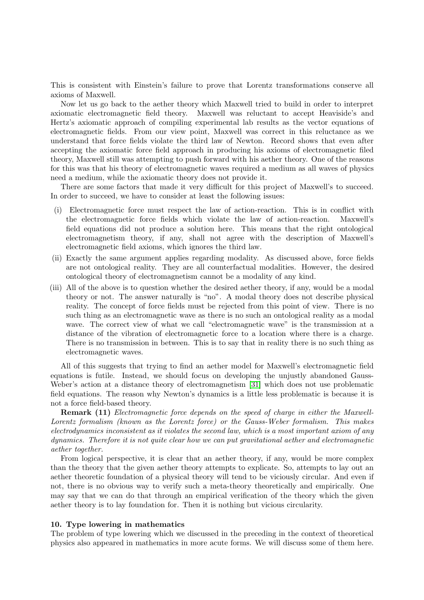This is consistent with Einstein's failure to prove that Lorentz transformations conserve all axioms of Maxwell.

Now let us go back to the aether theory which Maxwell tried to build in order to interpret axiomatic electromagnetic field theory. Maxwell was reluctant to accept Heaviside's and Hertz's axiomatic approach of compiling experimental lab results as the vector equations of electromagnetic fields. From our view point, Maxwell was correct in this reluctance as we understand that force fields violate the third law of Newton. Record shows that even after accepting the axiomatic force field approach in producing his axioms of electromagnetic filed theory, Maxwell still was attempting to push forward with his aether theory. One of the reasons for this was that his theory of electromagnetic waves required a medium as all waves of physics need a medium, while the axiomatic theory does not provide it.

There are some factors that made it very difficult for this project of Maxwell's to succeed. In order to succeed, we have to consider at least the following issues:

- (i) Electromagnetic force must respect the law of action-reaction. This is in conflict with the electromagnetic force fields which violate the law of action-reaction. Maxwell's field equations did not produce a solution here. This means that the right ontological electromagnetism theory, if any, shall not agree with the description of Maxwell's electromagnetic field axioms, which ignores the third law.
- (ii) Exactly the same argument applies regarding modality. As discussed above, force fields are not ontological reality. They are all counterfactual modalities. However, the desired ontological theory of electromagnetism cannot be a modality of any kind.
- (iii) All of the above is to question whether the desired aether theory, if any, would be a modal theory or not. The answer naturally is "no". A modal theory does not describe physical reality. The concept of force fields must be rejected from this point of view. There is no such thing as an electromagnetic wave as there is no such an ontological reality as a modal wave. The correct view of what we call "electromagnetic wave" is the transmission at a distance of the vibration of electromagnetic force to a location where there is a charge. There is no transmission in between. This is to say that in reality there is no such thing as electromagnetic waves.

All of this suggests that trying to find an aether model for Maxwell's electromagnetic field equations is futile. Instead, we should focus on developing the unjustly abandoned Gauss-Weber's action at a distance theory of electromagnetism [\[31\]](#page-22-5) which does not use problematic field equations. The reason why Newton's dynamics is a little less problematic is because it is not a force field-based theory.

**Remark (11)** Electromagnetic force depends on the speed of charge in either the Maxwell-Lorentz formalism (known as the Lorentz force) or the Gauss-Weber formalism. This makes electrodynamics inconsistent as it violates the second law, which is a most important axiom of any dynamics. Therefore it is not quite clear how we can put gravitational aether and electromagnetic aether together.

From logical perspective, it is clear that an aether theory, if any, would be more complex than the theory that the given aether theory attempts to explicate. So, attempts to lay out an aether theoretic foundation of a physical theory will tend to be viciously circular. And even if not, there is no obvious way to verify such a meta-theory theoretically and empirically. One may say that we can do that through an empirical verification of the theory which the given aether theory is to lay foundation for. Then it is nothing but vicious circularity.

#### 10. Type lowering in mathematics

The problem of type lowering which we discussed in the preceding in the context of theoretical physics also appeared in mathematics in more acute forms. We will discuss some of them here.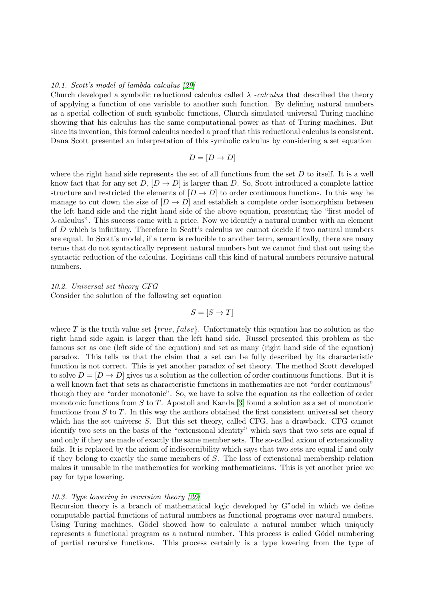## 10.1. Scott's model of lambda calculus [\[29\]](#page-22-6)

Church developed a symbolic reductional calculus called  $\lambda$  -calculus that described the theory of applying a function of one variable to another such function. By defining natural numbers as a special collection of such symbolic functions, Church simulated universal Turing machine showing that his calculus has the same computational power as that of Turing machines. But since its invention, this formal calculus needed a proof that this reductional calculus is consistent. Dana Scott presented an interpretation of this symbolic calculus by considering a set equation

$$
D = [D \to D]
$$

where the right hand side represents the set of all functions from the set  $D$  to itself. It is a well know fact that for any set  $D, [D \to D]$  is larger than D. So, Scott introduced a complete lattice structure and restricted the elements of  $[D \to D]$  to order continuous functions. In this way he manage to cut down the size of  $[D \to D]$  and establish a complete order isomorphism between the left hand side and the right hand side of the above equation, presenting the "first model of λ-calculus". This success came with a price. Now we identify a natural number with an element of D which is infinitary. Therefore in Scott's calculus we cannot decide if two natural numbers are equal. In Scott's model, if a term is reducible to another term, semantically, there are many terms that do not syntactically represent natural numbers but we cannot find that out using the syntactic reduction of the calculus. Logicians call this kind of natural numbers recursive natural numbers.

## 10.2. Universal set theory CFG

Consider the solution of the following set equation

 $S = [S \rightarrow T]$ 

where T is the truth value set  $\{true, false\}$ . Unfortunately this equation has no solution as the right hand side again is larger than the left hand side. Russel presented this problem as the famous set as one (left side of the equation) and set as many (right hand side of the equation) paradox. This tells us that the claim that a set can be fully described by its characteristic function is not correct. This is yet another paradox of set theory. The method Scott developed to solve  $D = |D \to D|$  gives us a solution as the collection of order continuous functions. But it is a well known fact that sets as characteristic functions in mathematics are not "order continuous" though they are "order monotonic". So, we have to solve the equation as the collection of order monotonic functions from S to T. Apostoli and Kanda [\[3\]](#page-21-5) found a solution as a set of monotonic functions from  $S$  to  $T$ . In this way the authors obtained the first consistent universal set theory which has the set universe S. But this set theory, called CFG, has a drawback. CFG cannot identify two sets on the basis of the "extensional identity" which says that two sets are equal if and only if they are made of exactly the same member sets. The so-called axiom of extensionality fails. It is replaced by the axiom of indiscernibility which says that two sets are equal if and only if they belong to exactly the same members of S. The loss of extensional membership relation makes it unusable in the mathematics for working mathematicians. This is yet another price we pay for type lowering.

#### 10.3. Type lowering in recursion theory [\[26\]](#page-22-7)

Recursion theory is a branch of mathematical logic developed by G"odel in which we define computable partial functions of natural numbers as functional programs over natural numbers. Using Turing machines, Gödel showed how to calculate a natural number which uniquely represents a functional program as a natural number. This process is called Gödel numbering of partial recursive functions. This process certainly is a type lowering from the type of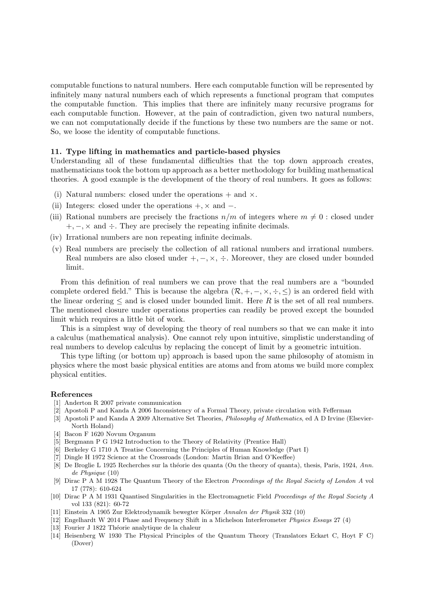computable functions to natural numbers. Here each computable function will be represented by infinitely many natural numbers each of which represents a functional program that computes the computable function. This implies that there are infinitely many recursive programs for each computable function. However, at the pain of contradiction, given two natural numbers, we can not computationally decide if the functions by these two numbers are the same or not. So, we loose the identity of computable functions.

## 11. Type lifting in mathematics and particle-based physics

Understanding all of these fundamental difficulties that the top down approach creates, mathematicians took the bottom up approach as a better methodology for building mathematical theories. A good example is the development of the theory of real numbers. It goes as follows:

- (i) Natural numbers: closed under the operations  $+$  and  $\times$ .
- (ii) Integers: closed under the operations  $+$ ,  $\times$  and  $-$ .
- (iii) Rational numbers are precisely the fractions  $n/m$  of integers where  $m \neq 0$ : closed under  $+, -$ ,  $\times$  and  $\div$ . They are precisely the repeating infinite decimals.
- (iv) Irrational numbers are non repeating infinite decimals.
- (v) Real numbers are precisely the collection of all rational numbers and irrational numbers. Real numbers are also closed under  $+,-, \times, \div$ . Moreover, they are closed under bounded limit.

From this definition of real numbers we can prove that the real numbers are a "bounded complete ordered field." This is because the algebra  $(\mathcal{R}, +, -, \times, \div, \leq)$  is an ordered field with the linear ordering  $\leq$  and is closed under bounded limit. Here R is the set of all real numbers. The mentioned closure under operations properties can readily be proved except the bounded limit which requires a little bit of work.

This is a simplest way of developing the theory of real numbers so that we can make it into a calculus (mathematical analysis). One cannot rely upon intuitive, simplistic understanding of real numbers to develop calculus by replacing the concept of limit by a geometric intuition.

This type lifting (or bottom up) approach is based upon the same philosophy of atomism in physics where the most basic physical entities are atoms and from atoms we build more complex physical entities.

## <span id="page-21-1"></span>References

- [1] Anderton R 2007 private communication
- <span id="page-21-5"></span>[2] Apostoli P and Kanda A 2006 Inconsistency of a Formal Theory, private circulation with Fefferman
- [3] Apostoli P and Kanda A 2009 Alternative Set Theories, *Philosophy of Mathematics*, ed A D Irvine (Elsevier-North Holand)
- [4] Bacon F 1620 Novum Organum
- [5] Bergmann P G 1942 Introduction to the Theory of Relativity (Prentice Hall)
- [6] Berkeley G 1710 A Treatise Concerning the Principles of Human Knowledge (Part I)
- <span id="page-21-2"></span>[7] Dingle H 1972 Science at the Crossroads (London: Martin Brian and O'Keeffee)
- [8] De Broglie L 1925 Recherches sur la théorie des quanta (On the theory of quanta), thesis, Paris, 1924, *Ann. de Physique* (10)
- [9] Dirac P A M 1928 The Quantum Theory of the Electron *Proceedings of the Royal Society of London A* vol 17 (778): 610-624
- <span id="page-21-4"></span>[10] Dirac P A M 1931 Quantised Singularities in the Electromagnetic Field *Proceedings of the Royal Society A* vol 133 (821): 60-72
- <span id="page-21-0"></span>[11] Einstein A 1905 Zur Elektrodynamik bewegter K¨orper *Annalen der Physik* 332 (10)
- <span id="page-21-3"></span>[12] Engelhardt W 2014 Phase and Frequency Shift in a Michelson Interferometer *Physics Essays* 27 (4)
- [13] Fourier J 1822 Théorie analytique de la chaleur
- [14] Heisenberg W 1930 The Physical Principles of the Quantum Theory (Translators Eckart C, Hoyt F C) (Dover)